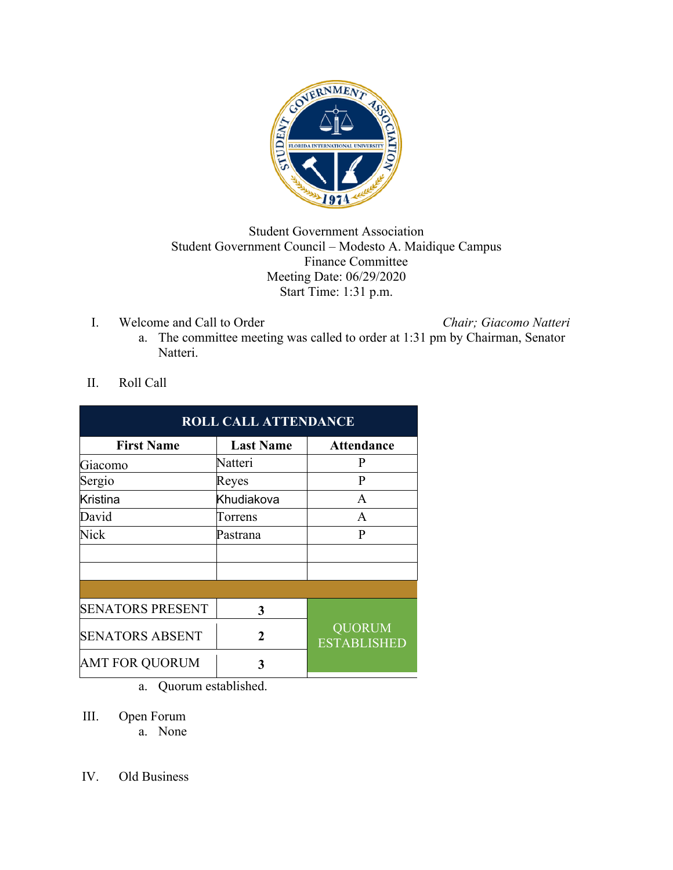

## Student Government Association Student Government Council – Modesto A. Maidique Campus Finance Committee Meeting Date: 06/29/2020 Start Time: 1:31 p.m.

I. Welcome and Call to Order *Chair; Giacomo Natteri*

- a. The committee meeting was called to order at 1:31 pm by Chairman, Senator Natteri.
- II. Roll Call

| <b>ROLL CALL ATTENDANCE</b> |                  |                                     |
|-----------------------------|------------------|-------------------------------------|
| <b>First Name</b>           | <b>Last Name</b> | <b>Attendance</b>                   |
| Giacomo                     | Natteri          | P                                   |
| Sergio                      | Reyes            | $\mathbf{P}$                        |
| <b>Kristina</b>             | Khudiakova       | A                                   |
| David                       | Torrens          | A                                   |
| Nick                        | Pastrana         | P                                   |
|                             |                  |                                     |
|                             |                  |                                     |
|                             |                  |                                     |
| <b>SENATORS PRESENT</b>     | 3                |                                     |
| <b>SENATORS ABSENT</b>      | 2                | <b>QUORUM</b><br><b>ESTABLISHED</b> |
| <b>AMT FOR QUORUM</b>       | 3                |                                     |

a. Quorum established.

III. Open Forum

a. None

IV. Old Business